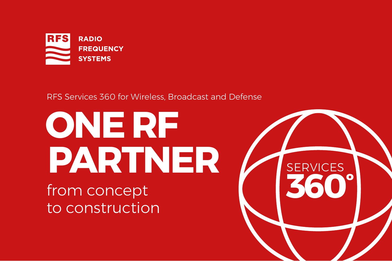

## RFS Services 360 for Wireless, Broadcast and Defense

**360º**

SERVICES

# **ONE RF PARTNER** from concept to construction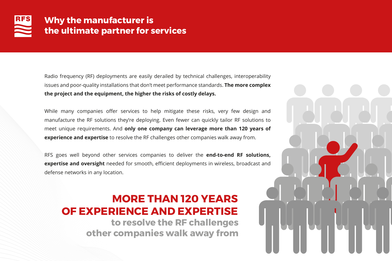# **Why the manufacturer is the ultimate partner for services**

Radio frequency (RF) deployments are easily derailed by technical challenges, interoperability issues and poor-quality installations that don't meet performance standards. **The more complex the project and the equipment, the higher the risks of costly delays.**

While many companies offer services to help mitigate these risks, very few design and manufacture the RF solutions they're deploying. Even fewer can quickly tailor RF solutions to meet unique requirements. And **only one company can leverage more than 120 years of experience and expertise** to resolve the RF challenges other companies walk away from.

RFS goes well beyond other services companies to deliver the **end-to-end RF solutions, expertise and oversight** needed for smooth, efficient deployments in wireless, broadcast and defense networks in any location.

# **MORE THAN 120 YEARS OF EXPERIENCE AND EXPERTISE**

**to resolve the RF challenges other companies walk away from**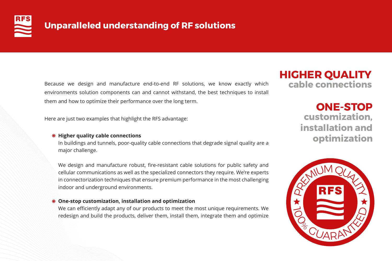

# **Unparalleled understanding of RF solutions**

Because we design and manufacture end-to-end RF solutions, we know exactly which environments solution components can and cannot withstand, the best techniques to install them and how to optimize their performance over the long term.

Here are just two examples that highlight the RFS advantage:

#### **Higher quality cable connections**

In buildings and tunnels, poor-quality cable connections that degrade signal quality are a major challenge.

We design and manufacture robust, fire-resistant cable solutions for public safety and cellular communications as well as the specialized connectors they require. We're experts in connectorization techniques that ensure premium performance in the most challenging indoor and underground environments.

#### **One-stop customization, installation and optimization**

We can efficiently adapt any of our products to meet the most unique requirements. We redesign and build the products, deliver them, install them, integrate them and optimize

## **HIGHER QUALITY cable connections**

**customization, installation and optimization ONE-STOP**

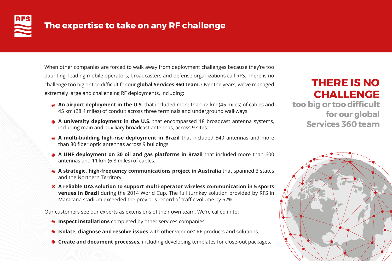# **The expertise to take on any RF challenge**

When other companies are forced to walk away from deployment challenges because they're too daunting, leading mobile operators, broadcasters and defense organizations call RFS. There is no challenge too big or too difficult for our **global Services 360 team.** Over the years, we've managed extremely large and challenging RF deployments, including:

- **An airport deployment in the U.S.** that included more than 72 km (45 miles) of cables and 45 km (28.4 miles) of conduit across three terminals and underground walkways.
- **A university deployment in the U.S.** that encompassed 18 broadcast antenna systems, including main and auxiliary broadcast antennas, across 9 sites.
- **A multi-building high-rise deployment in Brazil** that included 540 antennas and more than 80 fiber optic antennas across 9 buildings.
- **A UHF deployment on 30 oil and gas platforms in Brazil** that included more than 600 antennas and 11 km (6.8 miles) of cables.
- **A strategic, high-frequency communications project in Australia** that spanned 3 states and the Northern Territory.
- **A reliable DAS solution to support multi-operator wireless communication in 5 sports venues in Brazil** during the 2014 World Cup. The full turnkey solution provided by RFS in Maracanã stadium exceeded the previous record of traffic volume by 62%.

Our customers see our experts as extensions of their own team. We're called in to:

- **Inspect installations** completed by other services companies.
- **Isolate, diagnose and resolve issues** with other vendors' RF products and solutions.
- **Create and document processes,** including developing templates for close-out packages.

# **THERE IS NO CHALLENGE**

**too big or too difficult for our global Services 360 team**

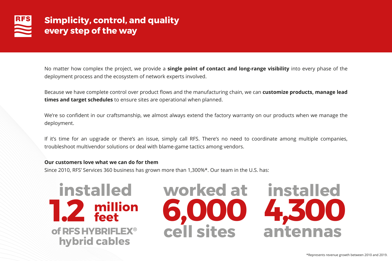# **Simplicity, control, and quality every step of the way**

No matter how complex the project, we provide a **single point of contact and long-range visibility** into every phase of the deployment process and the ecosystem of network experts involved.

Because we have complete control over product flows and the manufacturing chain, we can **customize products, manage lead times and target schedules** to ensure sites are operational when planned.

We're so confident in our craftsmanship, we almost always extend the factory warranty on our products when we manage the deployment.

If it's time for an upgrade or there's an issue, simply call RFS. There's no need to coordinate among multiple companies, troubleshoot multivendor solutions or deal with blame-game tactics among vendors.

#### **Our customers love what we can do for them**

Since 2010, RFS' Services 360 business has grown more than 1,300%\*. Our team in the U.S. has:

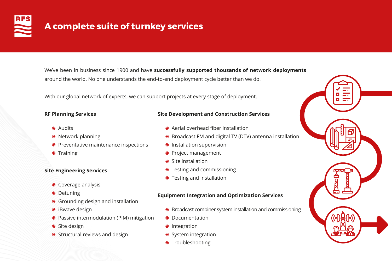

# **A complete suite of turnkey services**

We've been in business since 1900 and have **successfully supported thousands of network deployments** around the world. No one understands the end-to-end deployment cycle better than we do.

With our global network of experts, we can support projects at every stage of deployment.

## **RF Planning Services**

- **Audits**
- Network planning
- **•** Preventative maintenance inspections
- **O** Training

### **Site Engineering Services**

- Coverage analysis
- Detuning
- Grounding design and installation
- iBwave design
- Passive intermodulation (PIM) mitigation
- Site design
- Structural reviews and design

#### **Site Development and Construction Services**

- Aerial overhead fiber installation
- Broadcast FM and digital TV (DTV) antenna installation
- **O** Installation supervision
- Project management
- Site installation
- Testing and commissioning  $\bullet$
- Testing and installation

### **Equipment Integration and Optimization Services**

- Broadcast combiner system installation and commissioning
- Documentation
- Integration  $\bullet$
- System integration
- **•** Troubleshooting